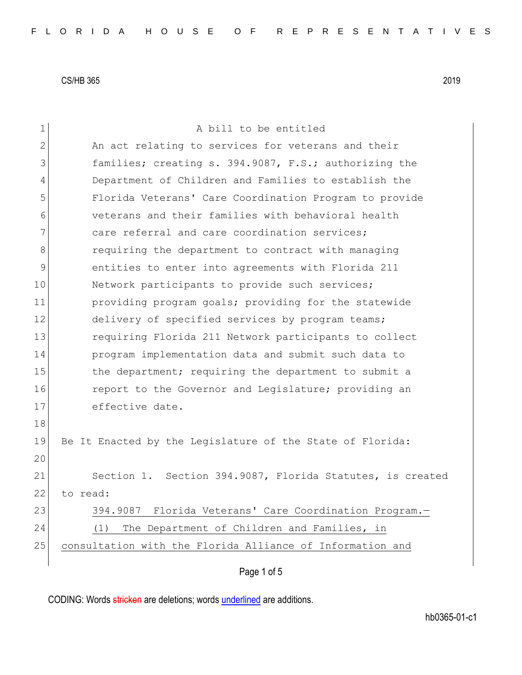| 1              | A bill to be entitled                                     |
|----------------|-----------------------------------------------------------|
| $\overline{2}$ | An act relating to services for veterans and their        |
| 3              | families; creating s. 394.9087, F.S.; authorizing the     |
| 4              | Department of Children and Families to establish the      |
| 5              | Florida Veterans' Care Coordination Program to provide    |
| 6              | veterans and their families with behavioral health        |
| 7              | care referral and care coordination services;             |
| 8              | requiring the department to contract with managing        |
| $\mathsf{S}$   | entities to enter into agreements with Florida 211        |
| 10             | Network participants to provide such services;            |
| 11             | providing program goals; providing for the statewide      |
| 12             | delivery of specified services by program teams;          |
| 13             | requiring Florida 211 Network participants to collect     |
| 14             | program implementation data and submit such data to       |
| 15             | the department; requiring the department to submit a      |
| 16             | report to the Governor and Legislature; providing an      |
| 17             | effective date.                                           |
| 18             |                                                           |
| 19             | Be It Enacted by the Legislature of the State of Florida: |
| 20             |                                                           |
| 21             | Section 1. Section 394.9087, Florida Statutes, is created |
| 22             | to read:                                                  |
| 23             | 394.9087 Florida Veterans' Care Coordination Program.-    |
| 24             | The Department of Children and Families, in<br>(1)        |
| 25             | consultation with the Florida Alliance of Information and |
|                |                                                           |

# Page 1 of 5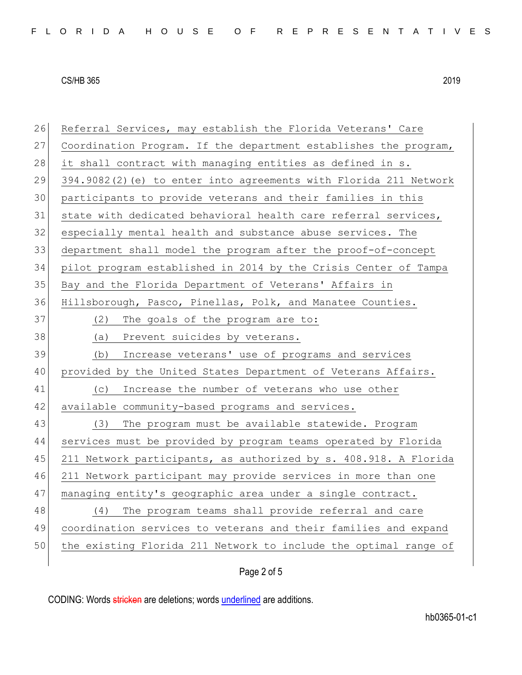| 26              | Referral Services, may establish the Florida Veterans' Care       |
|-----------------|-------------------------------------------------------------------|
| 27              | Coordination Program. If the department establishes the program,  |
| 28              | it shall contract with managing entities as defined in s.         |
| 29              | 394.9082(2) (e) to enter into agreements with Florida 211 Network |
| 30 <sup>°</sup> | participants to provide veterans and their families in this       |
| 31              | state with dedicated behavioral health care referral services,    |
| 32              | especially mental health and substance abuse services. The        |
| 33              | department shall model the program after the proof-of-concept     |
| 34              | pilot program established in 2014 by the Crisis Center of Tampa   |
| 35              | Bay and the Florida Department of Veterans' Affairs in            |
| 36              | Hillsborough, Pasco, Pinellas, Polk, and Manatee Counties.        |
| 37              | (2)<br>The goals of the program are to:                           |
| 38              | (a)<br>Prevent suicides by veterans.                              |
| 39              | Increase veterans' use of programs and services<br>(b)            |
| 40              | provided by the United States Department of Veterans Affairs.     |
| 41              | Increase the number of veterans who use other<br>(C)              |
| 42              | available community-based programs and services.                  |
| 43              | The program must be available statewide. Program<br>(3)           |
| 44              | services must be provided by program teams operated by Florida    |
| 45              | 211 Network participants, as authorized by s. 408.918. A Florida  |
| 46              | 211 Network participant may provide services in more than one     |
| 47              | managing entity's geographic area under a single contract.        |
| 48              | The program teams shall provide referral and care<br>(4)          |
| 49              | coordination services to veterans and their families and expand   |
| 50              | the existing Florida 211 Network to include the optimal range of  |
|                 |                                                                   |

Page 2 of 5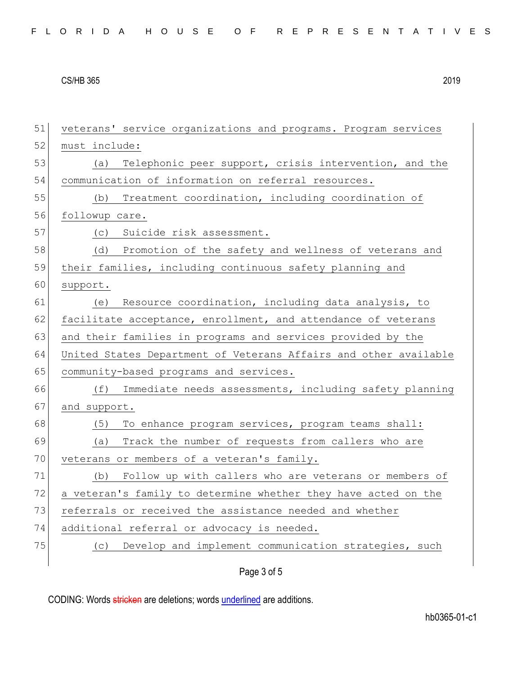| 51 | veterans' service organizations and programs. Program services   |
|----|------------------------------------------------------------------|
| 52 | must include:                                                    |
| 53 | Telephonic peer support, crisis intervention, and the<br>(a)     |
| 54 | communication of information on referral resources.              |
| 55 | Treatment coordination, including coordination of<br>(b)         |
| 56 | followup care.                                                   |
| 57 | (c) Suicide risk assessment.                                     |
| 58 | (d) Promotion of the safety and wellness of veterans and         |
| 59 | their families, including continuous safety planning and         |
| 60 | support.                                                         |
| 61 | Resource coordination, including data analysis, to<br>(e)        |
| 62 | facilitate acceptance, enrollment, and attendance of veterans    |
| 63 | and their families in programs and services provided by the      |
| 64 | United States Department of Veterans Affairs and other available |
| 65 | community-based programs and services.                           |
| 66 | Immediate needs assessments, including safety planning<br>(f)    |
| 67 | and support.                                                     |
| 68 | To enhance program services, program teams shall:<br>(5)         |
| 69 | Track the number of requests from callers who are<br>(a)         |
| 70 | veterans or members of a veteran's family.                       |
| 71 | Follow up with callers who are veterans or members of<br>(b)     |
| 72 | a veteran's family to determine whether they have acted on the   |
| 73 | referrals or received the assistance needed and whether          |
| 74 | additional referral or advocacy is needed.                       |
| 75 | (c) Develop and implement communication strategies, such         |
|    |                                                                  |

Page 3 of 5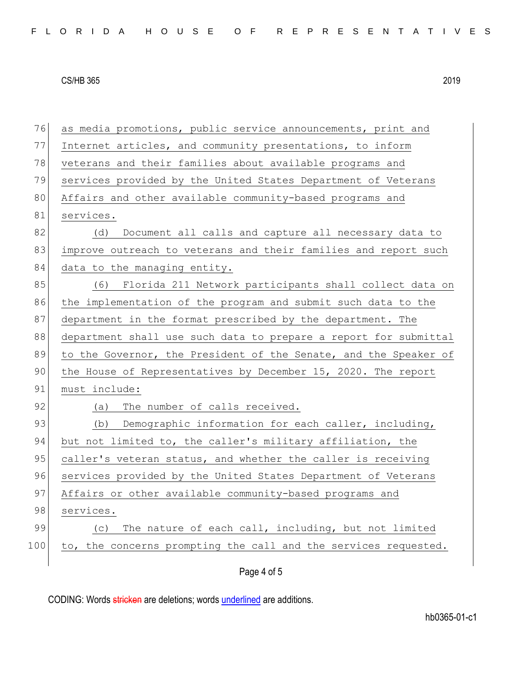| 76  | as media promotions, public service announcements, print and     |
|-----|------------------------------------------------------------------|
| 77  | Internet articles, and community presentations, to inform        |
| 78  | veterans and their families about available programs and         |
| 79  | services provided by the United States Department of Veterans    |
| 80  | Affairs and other available community-based programs and         |
| 81  | services.                                                        |
| 82  | Document all calls and capture all necessary data to<br>(d)      |
| 83  | improve outreach to veterans and their families and report such  |
| 84  | data to the managing entity.                                     |
| 85  | (6) Florida 211 Network participants shall collect data on       |
| 86  | the implementation of the program and submit such data to the    |
| 87  | department in the format prescribed by the department. The       |
| 88  | department shall use such data to prepare a report for submittal |
| 89  | to the Governor, the President of the Senate, and the Speaker of |
| 90  | the House of Representatives by December 15, 2020. The report    |
| 91  | must include:                                                    |
| 92  | The number of calls received.<br>(a)                             |
| 93  | (b) Demographic information for each caller, including,          |
| 94  | but not limited to, the caller's military affiliation, the       |
| 95  | caller's veteran status, and whether the caller is receiving     |
| 96  | services provided by the United States Department of Veterans    |
| 97  | Affairs or other available community-based programs and          |
| 98  | services.                                                        |
| 99  | The nature of each call, including, but not limited<br>(C)       |
| 100 | to, the concerns prompting the call and the services requested.  |
|     | Page 4 of 5                                                      |